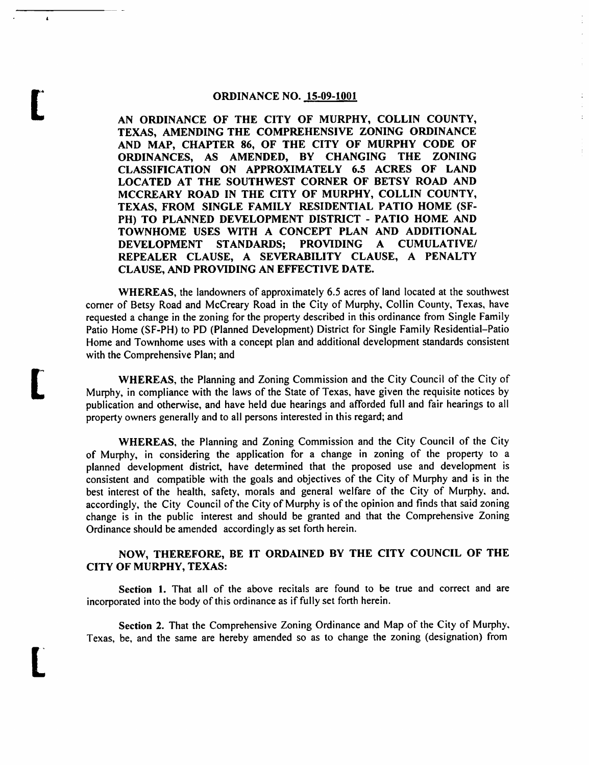#### *ORDINANCE NO. 15-09-1001*

*t*

*L*

*L*

*AN ORDINANCE OF THE CITY OF MURPHY, COLLIN COUNTY, TEXAS, AMENDING THE COMPREHENSIVE ZONING ORDINANCE AND MAP, CHAPTER 86, OF THE CITY OF MURPHY CODE OF ORDINANCES, AS AMENDED, BY CHANGING THE ZONING CLASSIFICATION ON APPROXIMATELY 6.5 ACRES OF LAND LOCATED AT THE SOUTHWEST CORNER OF BETSY ROAD AND MCCREARY ROAD IN THE CITY OF MURPHY, COLLIN COUNTY, TEXAS, FROM SINGLE FAMILY RESIDENTIAL PATIO HOME (SF-PH) TO PLANNED DEVELOPMENT DISTRICT - PATIO HOME AND TOWNHOME USES WITH A CONCEPT PLAN AND ADDITIONAL DEVELOPMENT STANDARDS; PROVIDING A CUMULATIVE/ REPEALER CLAUSE, A SEVERABILITY CLAUSE, A PENALTY CLAUSE, AND PROVIDING AN EFFECTIVE DATE.*

 $\mathbf{r}$ 

*WHEREAS,* the landowners of approximately 6.5 acres of land located at the southwest corner of Betsy Road and McCreary Road in the City of Murphy, Collin County, Texas, have requested a change in the zoning for the property described in this ordinance from Single Family Patio Home (SF-PH) to PD (Planned Development) District for Single Family Residential-Patio Home and Townhome uses with a concept plan and additional development standards consistent with the Comprehensive Plan; and

**WHEREAS, the Planning and Zoning Commission and the City Council of the City of** Murphy, in compliance with the laws of the State of Texas, have given the requisite notices by publication and otherwise, and have held due hearings and afforded full and fair hearings to all property owners generally and to all persons interested in this regard; and

*WHEREAS,* the Planning and Zoning Commission and the City Council of the City of Murphy, in considering the application for a change in zoning of the property to a planned development district, have determined that the proposed use and development is consistent and compatible with the goals and objectives of the City of Murphy and is in the best interest of the health, safety, morals and general welfare of the City of Murphy, and. accordingly, the City Council of the Cityof Murphy is of the opinion and finds that said zoning change is in the public interest and should be granted and that the Comprehensive Zoning Ordinance should be amended accordingly as set forth herein.

## *NOW, THEREFORE, BE IT ORDAINED BY THE CITY COUNCIL OF THE CITY OF MURPHY, TEXAS:*

*Section 1.* That all of the above recitals are found to be true and correct and are incorporated into the body of this ordinance as if fully set forth herein.

Section 2. That the Comprehensive Zoning Ordinance and Map of the City of Murphy, Texas, be, and the same are hereby amended so as to change the zoning (designation) from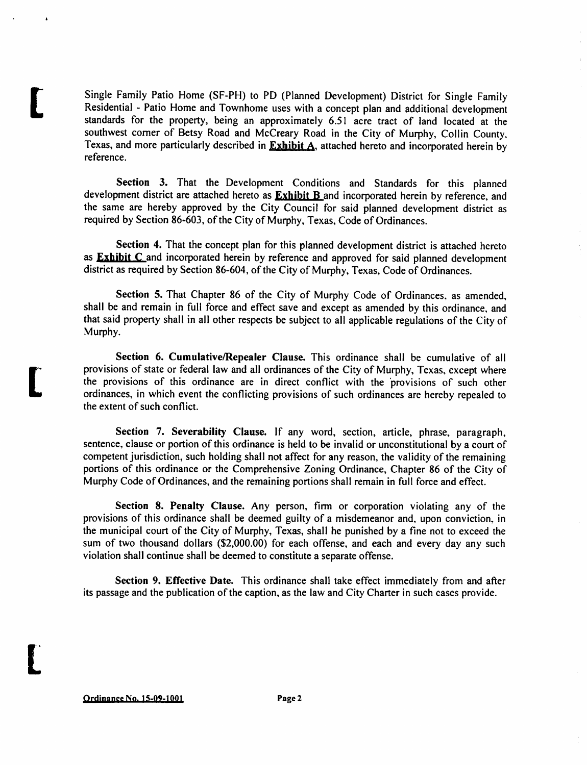Single Family Patio Home (SF-PH) to PD (Planned Development) District for Single Family Residential - Patio Home and Townhome uses with a concept plan and additional development standards for the property, being an approximately 6.51 acre tract of land located at the southwest corner of Betsy Road and McCreary Road in the City of Murphy, Collin County, Texas, and more particularly described in *Exhibit A.* attached hereto and incorporated herein by reference.

*Section 3.* That the Development Conditions and Standards for this planned development district are attached hereto as *Exhibit B* and incorporated herein by reference, and the same are hereby approved by the City Council for said planned development district as required by Section 86-603, of the City of Murphy, Texas, Code of Ordinances.

*Section 4.* That the concept plan for this planned development district is attached hereto as *Exhibit C* and incorporated herein by reference and approved for said planned development district as required by Section 86-604, of the City of Murphy, Texas, Code of Ordinances.

*Section* 5. That Chapter 86 of the City of Murphy Code of Ordinances, as amended, shall be and remain in full force and effect save and except as amended by this ordinance, and that said property shall in all other respects be subject to all applicable regulations of the City of Murphy.

*Section 6. Cumulative/Repealer Clause.* This ordinance shall be cumulative of all provisions of state or federal law and all ordinances of the City of Murphy, Texas, except where the provisions of this ordinance are in direct conflict with the provisions of such other ordinances, in which event the conflicting provisions of such ordinances are hereby repealed to the extent of such conflict.

*Section* 7. *Severability Clause.* If any word, section, article, phrase, paragraph, sentence, clause or portion of this ordinance is held to be invalid or unconstitutional by a court of competent jurisdiction, such holding shall not affect for any reason, the validity of the remaining portions of this ordinance or the Comprehensive Zoning Ordinance, Chapter 86 of the City of Murphy Code of Ordinances, and the remaining portions shall remain in full force and effect.

*Section 8. Penalty Clause.* Any person, firm or corporation violating any of the provisions of this ordinance shall be deemed guilty of a misdemeanor and, upon conviction, in the municipal court of the City of Murphy, Texas, shall he punished by a fine not to exceed the sum of two thousand dollars (\$2,000.00) for each offense, and each and every day any such violation shall continue shall be deemed to constitute a separate offense.

*Section 9. Effective Date.* This ordinance shall take effect immediately from and after its passage and the publication of the caption, as the law and City Charter in such cases provide.

*Ordinance No. 15-09-1001 Page 2*

*t*

*[*

*L*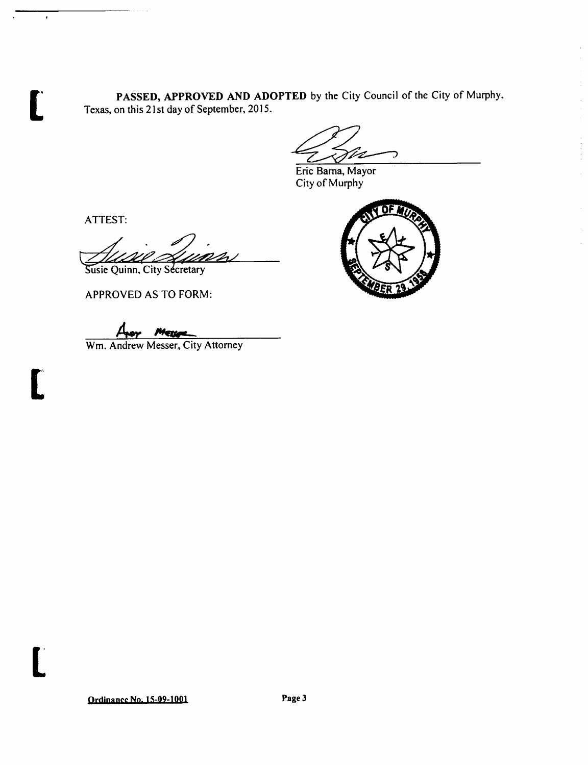*PASSED, APPROVED AND ADOPTED* by the City Council of the City of Murphy. Texas, on this 21st day of September, 2015.

Vz ╱

Eric Barna, Mayor City of Murphy

ATTEST:

*L*

 $\cdot$ 

**t** 

*t*

Susie Quinn, City Secretary

APPROVED AS TO FORM:

*/Ur /\*\*CC»\*^.*

Wm. Andrew Messer, City Attorney



⊃ OF 7  $\overline{\phantom{a}}$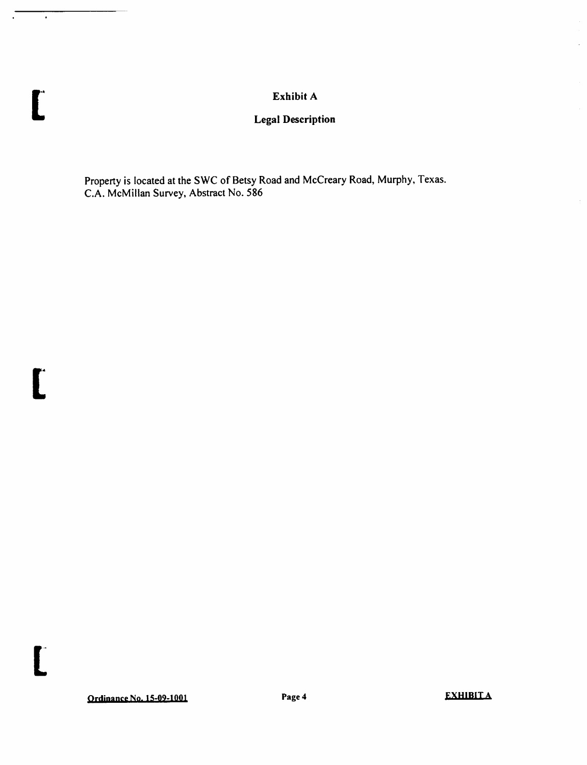## *Exhibit A*

# *Legal Description*

Property is located at the SWC of Betsy Road and McCreary Road, Murphy, Texas. C.A. McMillan Survey, Abstract No. 586

*t*

 $\bullet$ 

*t*

*t*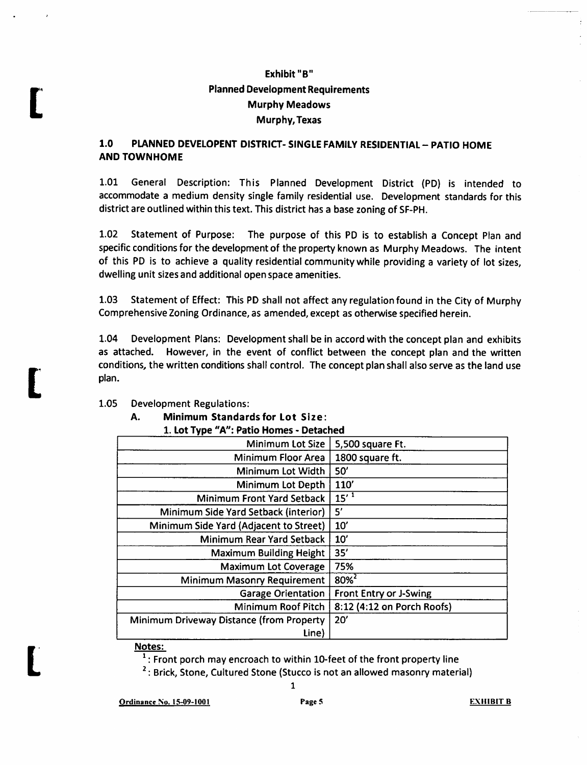# *Exhibit "B" Planned Development Requirements Murphy Meadows Murphy, Texas*

## *1.0 PLANNED DEVELOPENT DISTRICT- SINGLE FAMILY RESIDENTIAL - PATIO HOME ANDTOWNHOME*

1.01 General Description: This Planned Development District (PD) is intended to accommodate a medium density single family residential use. Development standards for this district are outlined within this text. This district has a base zoning of SF-PH.

1.02 Statement of Purpose: The purpose of this PD is to establish a Concept Plan and specific conditions for the development of the property known as Murphy Meadows. The intent of this PD is to achieve a quality residential community while providing a variety of lot sizes, dwelling unit sizes and additional open space amenities.

1.03 Statement of Effect: This PD shall not affect any regulation found in the City of Murphy Comprehensive Zoning Ordinance, as amended, except as otherwise specified herein.

1.04 Development Plans: Development shall be in accord with the concept plan and exhibits as attached. However, in the event of conflict between the concept plan and the written conditions, the written conditions shall control. The concept plan shall also serve as the land use plan.

### 1.05 Development Regulations:

*t*

*t*

*L*

*A. Minimum Standards for Lot Size:*

|  | 1. Lot Type "A": Patio Homes - Detached |  |
|--|-----------------------------------------|--|
|  |                                         |  |

| Minimum Lot Size                         | 5,500 square Ft.           |
|------------------------------------------|----------------------------|
| Minimum Floor Area                       | 1800 square ft.            |
| Minimum Lot Width                        | 50'                        |
| Minimum Lot Depth                        | 110'                       |
| Minimum Front Yard Setback               | $15'$ <sup>1</sup>         |
| Minimum Side Yard Setback (interior)     | 5'                         |
| Minimum Side Yard (Adjacent to Street)   | 10'                        |
| Minimum Rear Yard Setback                | 10'                        |
| <b>Maximum Building Height</b>           | 35'                        |
| <b>Maximum Lot Coverage</b>              | 75%                        |
| Minimum Masonry Requirement              | $80%^{2}$                  |
| <b>Garage Orientation</b>                | Front Entry or J-Swing     |
| Minimum Roof Pitch                       | 8:12 (4:12 on Porch Roofs) |
| Minimum Driveway Distance (from Property | 20'                        |
| Line)                                    |                            |

#### Notes:

 $1:$  Front porch may encroach to within 10-feet of the front property line

*1*

 $2:$  Brick, Stone, Cultured Stone (Stucco is not an allowed masonry material)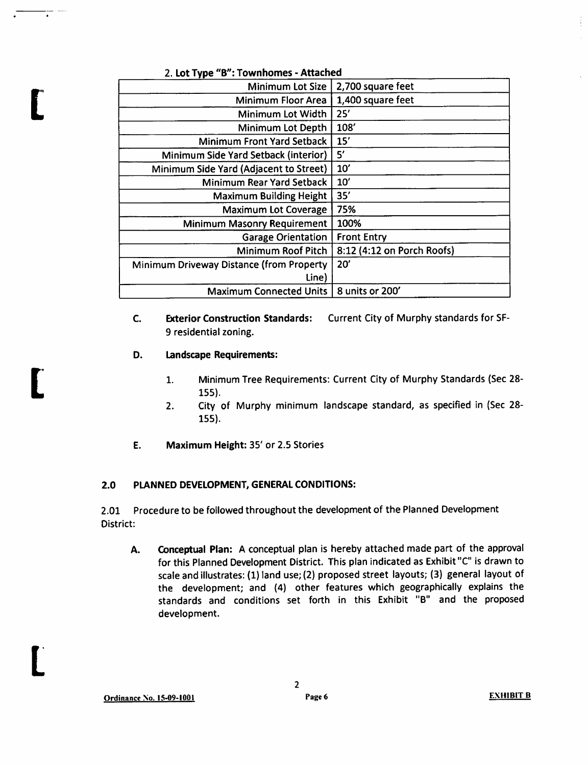| Z. LUL I YPE<br><b>D</b> . IVWIIIIUIIIC3 - Allaciicu |                            |  |  |
|------------------------------------------------------|----------------------------|--|--|
| Minimum Lot Size                                     | 2,700 square feet          |  |  |
| Minimum Floor Area                                   | 1,400 square feet          |  |  |
| Minimum Lot Width                                    | 25'                        |  |  |
| Minimum Lot Depth                                    | 108'                       |  |  |
| Minimum Front Yard Setback                           | 15'                        |  |  |
| Minimum Side Yard Setback (interior)                 | 5'                         |  |  |
| Minimum Side Yard (Adjacent to Street)               | 10'                        |  |  |
| <b>Minimum Rear Yard Setback</b>                     | 10'                        |  |  |
| <b>Maximum Building Height</b>                       | 35'                        |  |  |
| <b>Maximum Lot Coverage</b>                          | 75%                        |  |  |
| <b>Minimum Masonry Requirement</b>                   | 100%                       |  |  |
| <b>Garage Orientation</b>                            | <b>Front Entry</b>         |  |  |
| Minimum Roof Pitch                                   | 8:12 (4:12 on Porch Roofs) |  |  |
| Minimum Driveway Distance (from Property             | 20'                        |  |  |
| Line)                                                |                            |  |  |
| <b>Maximum Connected Units</b>                       | 8 units or 200'            |  |  |

2. *Lot Type "B": Townhomes - Attached*

- C. *Exterior Construction Standards:* Current City of Murphy standards for SF-9 residential zoning.
- *Landscape Requirements:* D.

*I*

*[*

*L*

- 1. Minimum Tree Requirements: Current City of Murphy Standards (Sec 28- 155).
- 2. City of Murphy minimum landscape standard, as specified in (Sec 28- 155).
- Ε. *Maximum Height:* 35' or 2.5 Stories

## *2.0 PLANNED DEVELOPMENT, GENERAL CONDITIONS:*

2.01 Procedure to be followed throughout the development of the Planned Development District:

*A. Conceptual Plan:* A conceptual plan is hereby attached made part of the approval for this Planned Development District. This plan indicated as Exhibit"C" is drawn to scale and illustrates: (1) land use; (2) proposed street layouts; (3) general layout of the development; and (4) other features which geographically explains the standards and conditions set forth in this Exhibit "B" and the proposed development.

 $\overline{2}$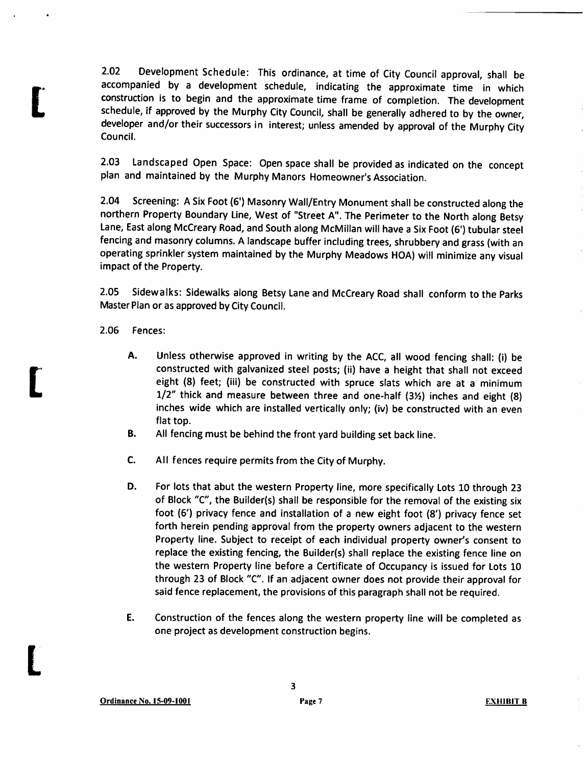2.02 Development Schedule: This ordinance, at time of City Council approval, shall be accompanied by a development schedule, indicating the approximate time in which construction is to begin and the approximate time frame of completion. The development schedule, if approved by the Murphy City Council, shall be generally adhered to by the owner, developer and/or their successors in interest; unless amended by approval of the Murphy City Council.

2.03 Landscaped Open Space: Open space shall be provided as indicated on the concept plan and maintained by the Murphy Manors Homeowner's Association.

2.04 Screening: ASix Foot (6') Masonry Wall/Entry Monument shall be constructed along the northern Property Boundary Line, West of "Street A". The Perimeter to the North along Betsy Lane, East along McCreary Road, and South along McMillan will have a Six Foot (6') tubular steel fencing and masonry columns. A landscape buffer including trees, shrubbery and grass (with an operating sprinkler system maintained by the Murphy Meadows HOA) will minimize any visual impact of the Property.

2.05 Sidewalks: Sidewalks along Betsy Laneand McCreary Road shall conform to the Parks Master Plan or as approved by City Council.

2.06 Fences:

*t*

**t** 

*L*

- A. Unless otherwise approved in writing by the ACC, all wood fencing shall: (i) be constructed with galvanized steel posts; (ii) have a height that shall not exceed eight (8) feet; (iii) be constructed with spruce slats which are at a minimum  $1/2$ " thick and measure between three and one-half (3 $\frac{1}{2}$ ) inches and eight (8) inches wide which are installed vertically only; (iv) be constructed with an even flat top.
- B. All fencing must be behind the front yard building set back line.
- C. All fences require permits from the Cityof Murphy.
- D. For lots that abut the western Property line, more specifically Lots 10 through 23 of Block "C", the Builder(s) shall be responsible for the removal of the existing six foot (6') privacy fence and installation of a new eight foot (8') privacy fence set forth herein pending approval from the property owners adjacent to the western Property line. Subject to receipt of each individual property owner's consent to replace the existing fencing, the Builder(s) shall replace the existing fence line on the western Property line before a Certificate of Occupancy is issued for Lots 10 through 23 of Block "C". If an adjacent owner does not provide their approval for said fence replacement, the provisions of this paragraph shall not be required.
- E. Construction of the fences along the western property line will be completed as one project as development construction begins.

*3*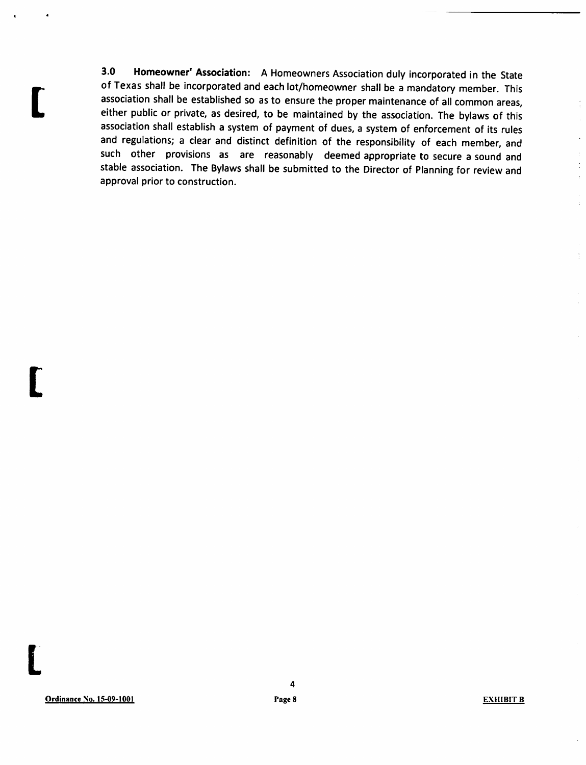*3.0 Homeowner' Association:* AHomeowners Association duly incorporated in the State of Texas shall be incorporated and each lot/homeowner shall be a mandatory member. This association shall be established so as to ensure the proper maintenance of all common areas, either public or private, as desired, to be maintained by the association. The bylaws of this association shall establish a system of payment of dues, a system of enforcement of its rules and regulations; a clear and distinct definition of the responsibility of each member, and such other provisions as are reasonably deemed appropriate to secure a sound and stable association. The Bylaws shall be submitted to the Director of Planning for review and approval prior to construction.

*L*

*t*

*L*

 $\frac{1}{2}$ 

l,

 $\overline{\overline{z}}$